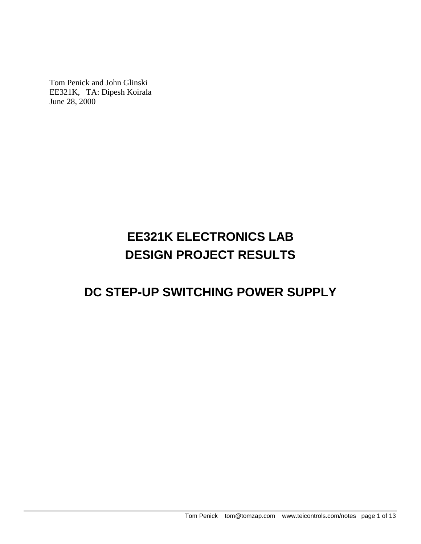Tom Penick and John Glinski EE321K, TA: Dipesh Koirala June 28, 2000

# **EE321K ELECTRONICS LAB DESIGN PROJECT RESULTS**

## **DC STEP-UP SWITCHING POWER SUPPLY**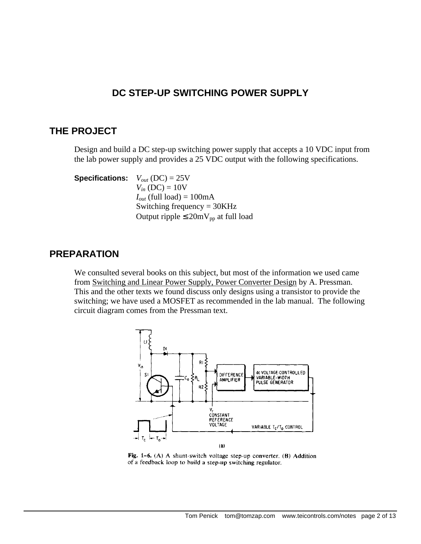## **DC STEP-UP SWITCHING POWER SUPPLY**

## **THE PROJECT**

Design and build a DC step-up switching power supply that accepts a 10 VDC input from the lab power supply and provides a 25 VDC output with the following specifications.

**Specifications:**  $V_{out}$  (DC) = 25V  $V_{in}$  (DC) = 10V  $I_{out}$  (full load) = 100mA Switching frequency = 30KHz Output ripple  $\leq 20$ mV<sub>pp</sub> at full load

### **PREPARATION**

We consulted several books on this subject, but most of the information we used came from Switching and Linear Power Supply, Power Converter Design by A. Pressman. This and the other texts we found discuss only designs using a transistor to provide the switching; we have used a MOSFET as recommended in the lab manual. The following circuit diagram comes from the Pressman text.



Fig. 1-6. (A) A shunt-switch voltage step-up converter. (B) Addition of a feedback loop to build a step-up switching regulator.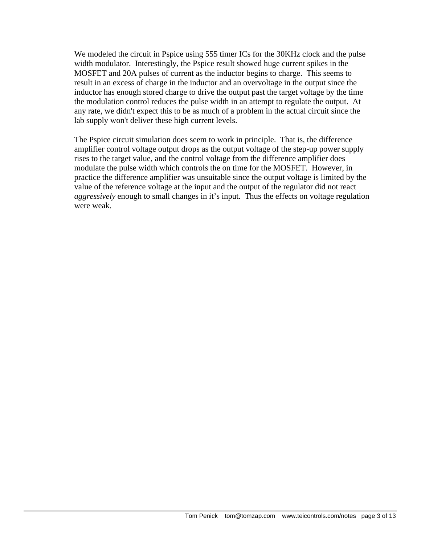We modeled the circuit in Pspice using 555 timer ICs for the 30KHz clock and the pulse width modulator. Interestingly, the Pspice result showed huge current spikes in the MOSFET and 20A pulses of current as the inductor begins to charge. This seems to result in an excess of charge in the inductor and an overvoltage in the output since the inductor has enough stored charge to drive the output past the target voltage by the time the modulation control reduces the pulse width in an attempt to regulate the output. At any rate, we didn't expect this to be as much of a problem in the actual circuit since the lab supply won't deliver these high current levels.

The Pspice circuit simulation does seem to work in principle. That is, the difference amplifier control voltage output drops as the output voltage of the step-up power supply rises to the target value, and the control voltage from the difference amplifier does modulate the pulse width which controls the on time for the MOSFET. However, in practice the difference amplifier was unsuitable since the output voltage is limited by the value of the reference voltage at the input and the output of the regulator did not react *aggressively* enough to small changes in it's input. Thus the effects on voltage regulation were weak.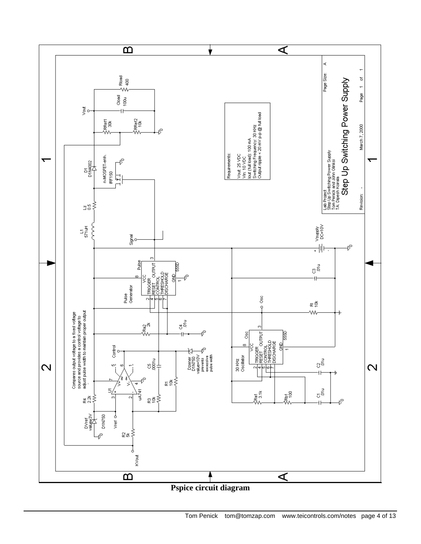

**Pspice circuit diagram**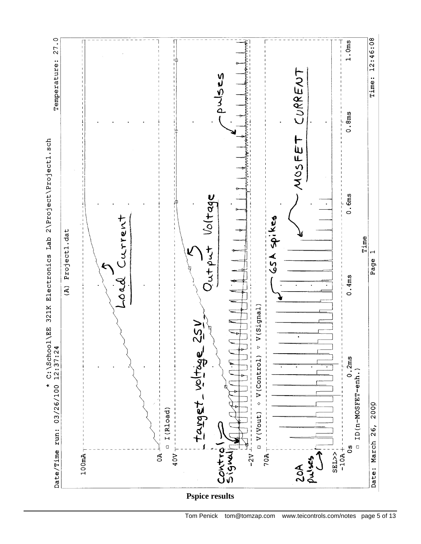

Tom Penick tom@tomzap.com www.teicontrols.com/notes page 5 of 13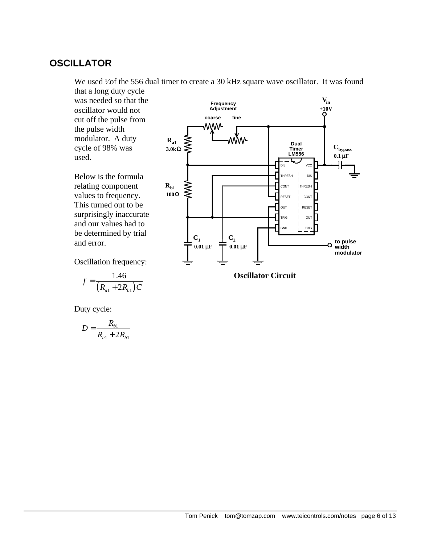## **OSCILLATOR**

We used  $\frac{1}{2}$  the 556 dual timer to create a 30 kHz square wave oscillator. It was found

that a long duty cycle was needed so that the oscillator would not cut off the pulse from the pulse width modulator. A duty cycle of 98% was used.

Below is the formula relating component values to frequency. This turned out to be surprisingly inaccurate and our values had to be determined by trial and error.

Oscillation frequency:

$$
f = \frac{1.46}{(R_{a1} + 2R_{b1})C}
$$

Duty cycle:

$$
D = \frac{R_{b1}}{R_{a1} + 2R_{b1}}
$$



**Oscillator Circuit**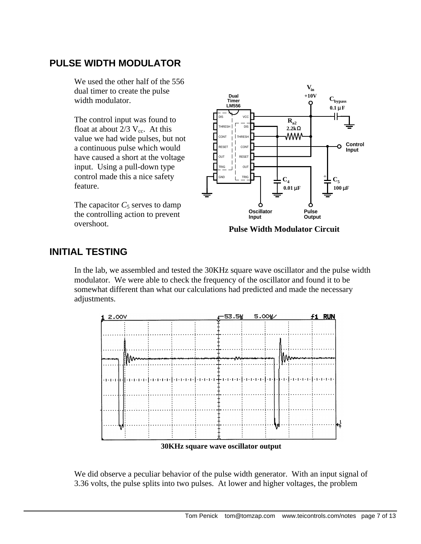## **PULSE WIDTH MODULATOR**

We used the other half of the 556 dual timer to create the pulse width modulator.

The control input was found to float at about  $2/3$  V<sub>cc</sub>. At this value we had wide pulses, but not a continuous pulse which would have caused a short at the voltage input. Using a pull-down type control made this a nice safety feature.

The capacitor  $C_5$  serves to damp the controlling action to prevent overshoot.



**Pulse Width Modulator Circuit**

## **INITIAL TESTING**

In the lab, we assembled and tested the 30KHz square wave oscillator and the pulse width modulator. We were able to check the frequency of the oscillator and found it to be somewhat different than what our calculations had predicted and made the necessary adjustments.



**30KHz square wave oscillator output**

We did observe a peculiar behavior of the pulse width generator. With an input signal of 3.36 volts, the pulse splits into two pulses. At lower and higher voltages, the problem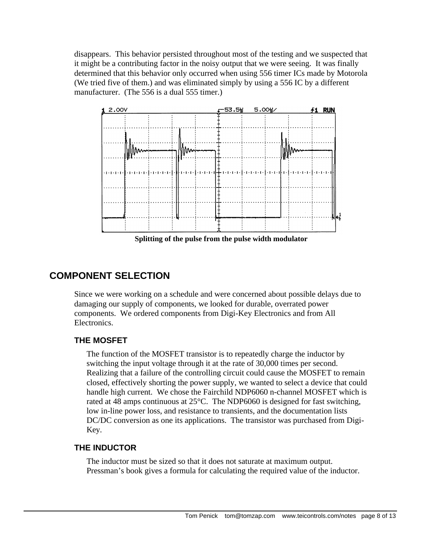disappears. This behavior persisted throughout most of the testing and we suspected that it might be a contributing factor in the noisy output that we were seeing. It was finally determined that this behavior only occurred when using 556 timer ICs made by Motorola (We tried five of them.) and was eliminated simply by using a 556 IC by a different manufacturer. (The 556 is a dual 555 timer.)



**Splitting of the pulse from the pulse width modulator**

## **COMPONENT SELECTION**

Since we were working on a schedule and were concerned about possible delays due to damaging our supply of components, we looked for durable, overrated power components. We ordered components from Digi-Key Electronics and from All Electronics.

#### **THE MOSFET**

The function of the MOSFET transistor is to repeatedly charge the inductor by switching the input voltage through it at the rate of 30,000 times per second. Realizing that a failure of the controlling circuit could cause the MOSFET to remain closed, effectively shorting the power supply, we wanted to select a device that could handle high current. We chose the Fairchild NDP6060 n-channel MOSFET which is rated at 48 amps continuous at 25°C. The NDP6060 is designed for fast switching, low in-line power loss, and resistance to transients, and the documentation lists DC/DC conversion as one its applications. The transistor was purchased from Digi-Key.

#### **THE INDUCTOR**

The inductor must be sized so that it does not saturate at maximum output. Pressman's book gives a formula for calculating the required value of the inductor.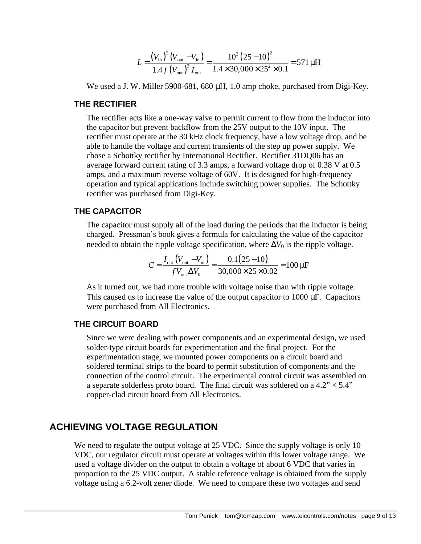$$
L = \frac{(V_{\text{in}})^{2} (V_{\text{out}} - V_{\text{in}})}{1.4 f (V_{\text{out}})^{2} I_{\text{out}}} = \frac{10^{2} (25 - 10)^{2}}{1.4 \times 30,000 \times 25^{2} \times 0.1} = 571 \,\mu\text{H}
$$

We used a J. W. Miller 5900-681, 680 μH, 1.0 amp choke, purchased from Digi-Key.

#### **THE RECTIFIER**

The rectifier acts like a one-way valve to permit current to flow from the inductor into the capacitor but prevent backflow from the 25V output to the 10V input. The rectifier must operate at the 30 kHz clock frequency, have a low voltage drop, and be able to handle the voltage and current transients of the step up power supply. We chose a Schottky rectifier by International Rectifier. Rectifier 31DQ06 has an average forward current rating of 3.3 amps, a forward voltage drop of 0.38 V at 0.5 amps, and a maximum reverse voltage of 60V. It is designed for high-frequency operation and typical applications include switching power supplies. The Schottky rectifier was purchased from Digi-Key.

#### **THE CAPACITOR**

The capacitor must supply all of the load during the periods that the inductor is being charged. Pressman's book gives a formula for calculating the value of the capacitor needed to obtain the ripple voltage specification, where  $\Delta V_0$  is the ripple voltage.

$$
C = \frac{I_{\text{out}}(V_{\text{out}} - V_{\text{in}})}{fV_{\text{out}}\Delta V_0} = \frac{0.1(25 - 10)}{30,000 \times 25 \times 0.02} = 100 \,\mu\text{F}
$$

As it turned out, we had more trouble with voltage noise than with ripple voltage. This caused us to increase the value of the output capacitor to 1000 μF. Capacitors were purchased from All Electronics.

#### **THE CIRCUIT BOARD**

Since we were dealing with power components and an experimental design, we used solder-type circuit boards for experimentation and the final project. For the experimentation stage, we mounted power components on a circuit board and soldered terminal strips to the board to permit substitution of components and the connection of the control circuit. The experimental control circuit was assembled on a separate solderless proto board. The final circuit was soldered on a  $4.2$ "  $\times$  5.4" copper-clad circuit board from All Electronics.

#### **ACHIEVING VOLTAGE REGULATION**

We need to regulate the output voltage at 25 VDC. Since the supply voltage is only 10 VDC, our regulator circuit must operate at voltages within this lower voltage range. We used a voltage divider on the output to obtain a voltage of about 6 VDC that varies in proportion to the 25 VDC output. A stable reference voltage is obtained from the supply voltage using a 6.2-volt zener diode. We need to compare these two voltages and send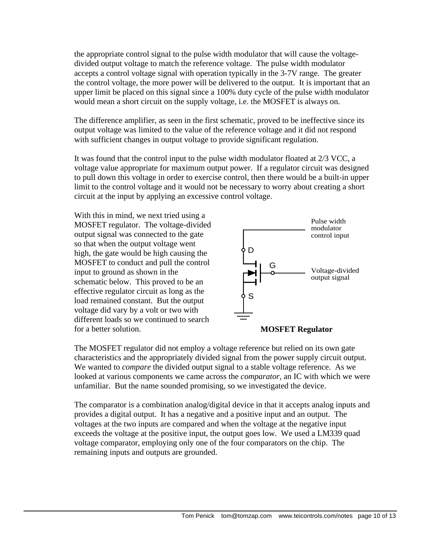the appropriate control signal to the pulse width modulator that will cause the voltagedivided output voltage to match the reference voltage. The pulse width modulator accepts a control voltage signal with operation typically in the 3-7V range. The greater the control voltage, the more power will be delivered to the output. It is important that an upper limit be placed on this signal since a 100% duty cycle of the pulse width modulator would mean a short circuit on the supply voltage, i.e. the MOSFET is always on.

The difference amplifier, as seen in the first schematic, proved to be ineffective since its output voltage was limited to the value of the reference voltage and it did not respond with sufficient changes in output voltage to provide significant regulation.

It was found that the control input to the pulse width modulator floated at 2/3 VCC, a voltage value appropriate for maximum output power. If a regulator circuit was designed to pull down this voltage in order to exercise control, then there would be a built-in upper limit to the control voltage and it would not be necessary to worry about creating a short circuit at the input by applying an excessive control voltage.

With this in mind, we next tried using a MOSFET regulator. The voltage-divided output signal was connected to the gate so that when the output voltage went high, the gate would be high causing the MOSFET to conduct and pull the control input to ground as shown in the schematic below. This proved to be an effective regulator circuit as long as the load remained constant. But the output voltage did vary by a volt or two with different loads so we continued to search for a better solution.





The MOSFET regulator did not employ a voltage reference but relied on its own gate characteristics and the appropriately divided signal from the power supply circuit output. We wanted to *compare* the divided output signal to a stable voltage reference. As we looked at various components we came across the *comparator*, an IC with which we were unfamiliar. But the name sounded promising, so we investigated the device.

The comparator is a combination analog/digital device in that it accepts analog inputs and provides a digital output. It has a negative and a positive input and an output. The voltages at the two inputs are compared and when the voltage at the negative input exceeds the voltage at the positive input, the output goes low. We used a LM339 quad voltage comparator, employing only one of the four comparators on the chip. The remaining inputs and outputs are grounded.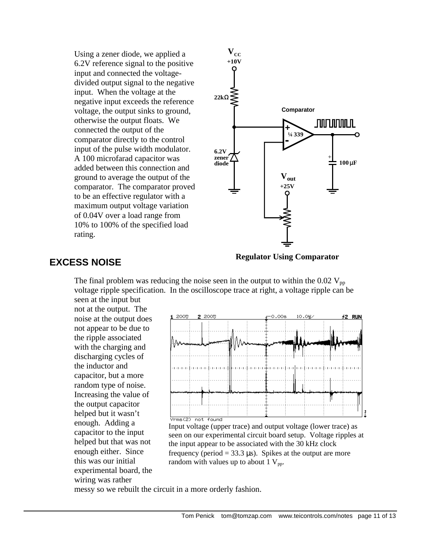Using a zener diode, we applied a 6.2V reference signal to the positive input and connected the voltagedivided output signal to the negative input. When the voltage at the negative input exceeds the reference voltage, the output sinks to ground, otherwise the output floats. We connected the output of the comparator directly to the control input of the pulse width modulator. A 100 microfarad capacitor was added between this connection and ground to average the output of the comparator. The comparator proved to be an effective regulator with a maximum output voltage variation of 0.04V over a load range from 10% to 100% of the specified load rating.



#### **EXCESS NOISE**

**Regulator Using Comparator**

The final problem was reducing the noise seen in the output to within the  $0.02$  V<sub>pp</sub> voltage ripple specification. In the oscilloscope trace at right, a voltage ripple can be seen at the input but

not at the output. The noise at the output does not appear to be due to the ripple associated with the charging and discharging cycles of the inductor and capacitor, but a more random type of noise. Increasing the value of the output capacitor helped but it wasn't enough. Adding a capacitor to the input helped but that was not enough either. Since this was our initial experimental board, the wiring was rather



Input voltage (upper trace) and output voltage (lower trace) as seen on our experimental circuit board setup. Voltage ripples at the input appear to be associated with the 30 kHz clock frequency (period =  $33.3 \,\mu s$ ). Spikes at the output are more random with values up to about 1  $V_{pp}$ .

messy so we rebuilt the circuit in a more orderly fashion.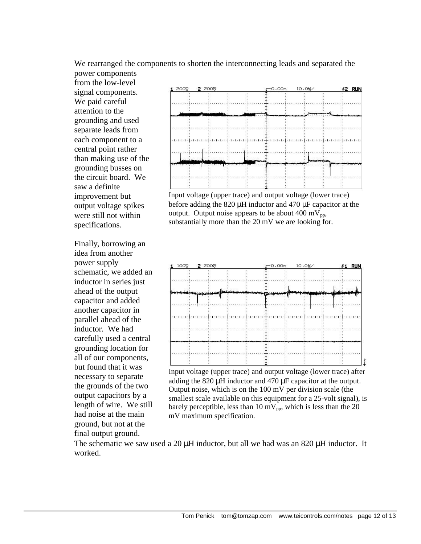We rearranged the components to shorten the interconnecting leads and separated the power components

from the low-level signal components. We paid careful attention to the grounding and used separate leads from each component to a central point rather than making use of the grounding busses on the circuit board. We saw a definite improvement but output voltage spikes were still not within specifications.

Finally, borrowing an idea from another power supply schematic, we added an inductor in series just ahead of the output capacitor and added another capacitor in parallel ahead of the inductor. We had carefully used a central grounding location for all of our components, but found that it was necessary to separate the grounds of the two output capacitors by a length of wire. We still had noise at the main ground, but not at the final output ground.



Input voltage (upper trace) and output voltage (lower trace) before adding the 820 μH inductor and 470 μF capacitor at the output. Output noise appears to be about 400 mV<sub>pp</sub>, substantially more than the 20 mV we are looking for.



Input voltage (upper trace) and output voltage (lower trace) after adding the 820 μH inductor and 470 μF capacitor at the output. Output noise, which is on the 100 mV per division scale (the smallest scale available on this equipment for a 25-volt signal), is barely perceptible, less than 10 mV<sub>pp</sub>, which is less than the 20 mV maximum specification.

The schematic we saw used a 20  $\mu$ H inductor, but all we had was an 820  $\mu$ H inductor. It worked.